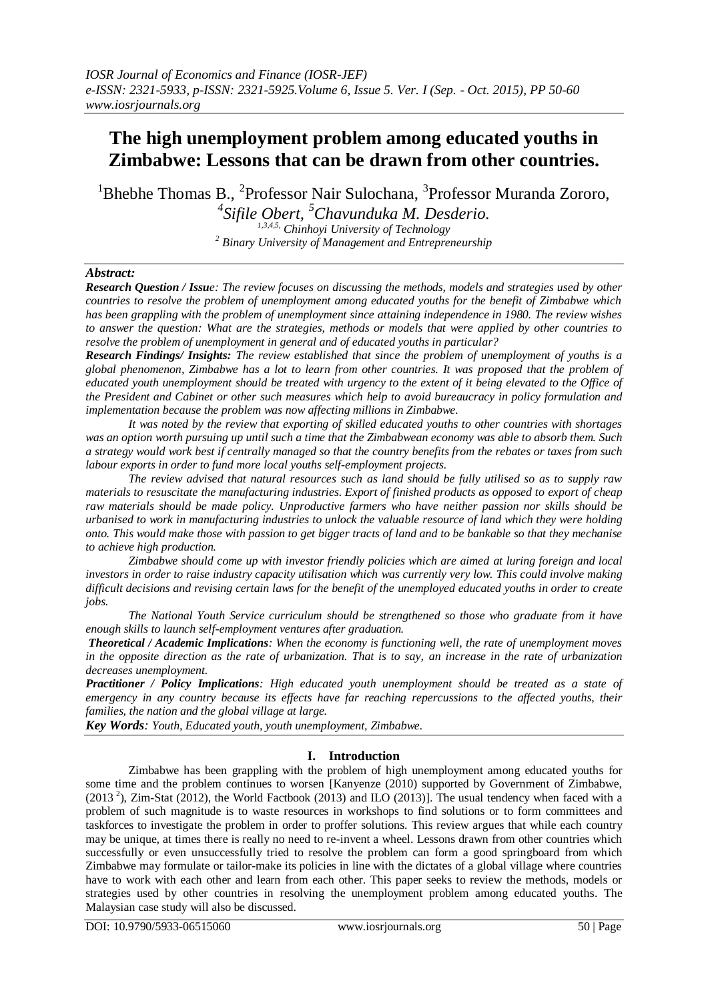# **The high unemployment problem among educated youths in Zimbabwe: Lessons that can be drawn from other countries.**

<sup>1</sup>Bhebhe Thomas B., <sup>2</sup>Professor Nair Sulochana, <sup>3</sup>Professor Muranda Zororo,

*4 Sifile Obert, <sup>5</sup>Chavunduka M. Desderio.*

*1,3,4,5, Chinhoyi University of Technology <sup>2</sup> Binary University of Management and Entrepreneurship*

# *Abstract:*

*Research Question / Issue: The review focuses on discussing the methods, models and strategies used by other countries to resolve the problem of unemployment among educated youths for the benefit of Zimbabwe which has been grappling with the problem of unemployment since attaining independence in 1980. The review wishes to answer the question: What are the strategies, methods or models that were applied by other countries to resolve the problem of unemployment in general and of educated youths in particular?*

*Research Findings/ Insights: The review established that since the problem of unemployment of youths is a global phenomenon, Zimbabwe has a lot to learn from other countries. It was proposed that the problem of educated youth unemployment should be treated with urgency to the extent of it being elevated to the Office of the President and Cabinet or other such measures which help to avoid bureaucracy in policy formulation and implementation because the problem was now affecting millions in Zimbabwe.*

*It was noted by the review that exporting of skilled educated youths to other countries with shortages was an option worth pursuing up until such a time that the Zimbabwean economy was able to absorb them. Such a strategy would work best if centrally managed so that the country benefits from the rebates or taxes from such labour exports in order to fund more local youths self-employment projects.*

*The review advised that natural resources such as land should be fully utilised so as to supply raw materials to resuscitate the manufacturing industries. Export of finished products as opposed to export of cheap raw materials should be made policy. Unproductive farmers who have neither passion nor skills should be urbanised to work in manufacturing industries to unlock the valuable resource of land which they were holding onto. This would make those with passion to get bigger tracts of land and to be bankable so that they mechanise to achieve high production.*

*Zimbabwe should come up with investor friendly policies which are aimed at luring foreign and local investors in order to raise industry capacity utilisation which was currently very low. This could involve making difficult decisions and revising certain laws for the benefit of the unemployed educated youths in order to create jobs.*

*The National Youth Service curriculum should be strengthened so those who graduate from it have enough skills to launch self-employment ventures after graduation.*

*Theoretical / Academic Implications: When the economy is functioning well, the rate of unemployment moves in the opposite direction as the rate of urbanization. That is to say, an increase in the rate of urbanization decreases unemployment.*

*Practitioner / Policy Implications: High educated youth unemployment should be treated as a state of emergency in any country because its effects have far reaching repercussions to the affected youths, their families, the nation and the global village at large.*

*Key Words: Youth, Educated youth, youth unemployment, Zimbabwe.*

# **I. Introduction**

Zimbabwe has been grappling with the problem of high unemployment among educated youths for some time and the problem continues to worsen [Kanyenze (2010) supported by Government of Zimbabwe,  $(2013<sup>2</sup>)$ , Zim-Stat (2012), the World Factbook (2013) and ILO (2013)]. The usual tendency when faced with a problem of such magnitude is to waste resources in workshops to find solutions or to form committees and taskforces to investigate the problem in order to proffer solutions. This review argues that while each country may be unique, at times there is really no need to re-invent a wheel. Lessons drawn from other countries which successfully or even unsuccessfully tried to resolve the problem can form a good springboard from which Zimbabwe may formulate or tailor-make its policies in line with the dictates of a global village where countries have to work with each other and learn from each other. This paper seeks to review the methods, models or strategies used by other countries in resolving the unemployment problem among educated youths. The Malaysian case study will also be discussed.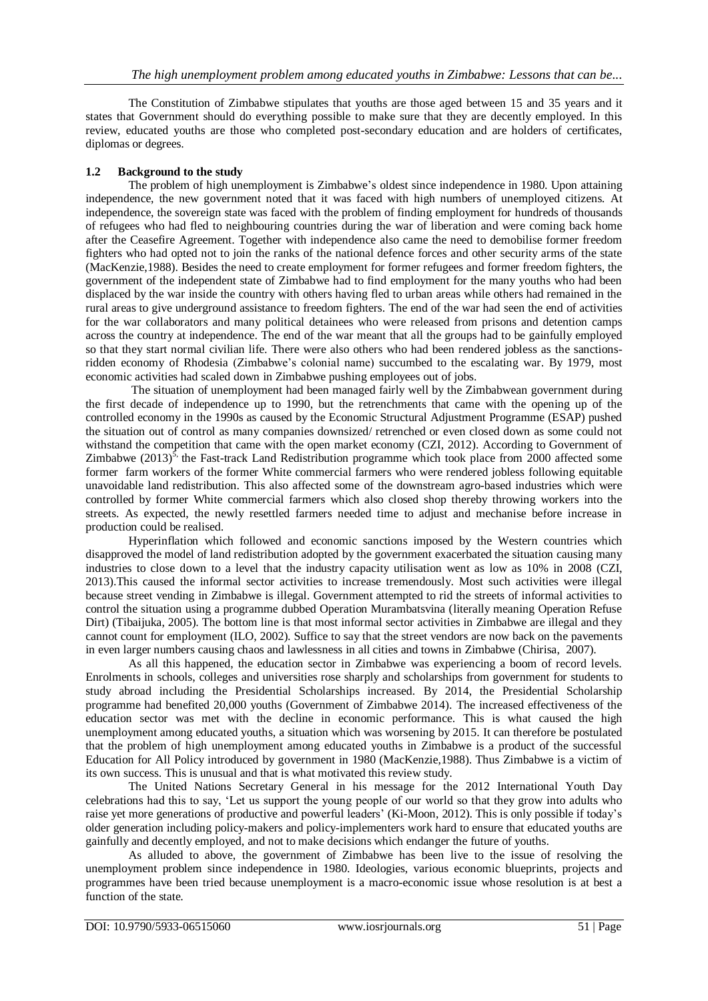The Constitution of Zimbabwe stipulates that youths are those aged between 15 and 35 years and it states that Government should do everything possible to make sure that they are decently employed. In this review, educated youths are those who completed post-secondary education and are holders of certificates, diplomas or degrees.

## **1.2 Background to the study**

The problem of high unemployment is Zimbabwe"s oldest since independence in 1980. Upon attaining independence, the new government noted that it was faced with high numbers of unemployed citizens. At independence, the sovereign state was faced with the problem of finding employment for hundreds of thousands of refugees who had fled to neighbouring countries during the war of liberation and were coming back home after the Ceasefire Agreement. Together with independence also came the need to demobilise former freedom fighters who had opted not to join the ranks of the national defence forces and other security arms of the state (MacKenzie,1988). Besides the need to create employment for former refugees and former freedom fighters, the government of the independent state of Zimbabwe had to find employment for the many youths who had been displaced by the war inside the country with others having fled to urban areas while others had remained in the rural areas to give underground assistance to freedom fighters. The end of the war had seen the end of activities for the war collaborators and many political detainees who were released from prisons and detention camps across the country at independence. The end of the war meant that all the groups had to be gainfully employed so that they start normal civilian life. There were also others who had been rendered jobless as the sanctionsridden economy of Rhodesia (Zimbabwe"s colonial name) succumbed to the escalating war. By 1979, most economic activities had scaled down in Zimbabwe pushing employees out of jobs.

The situation of unemployment had been managed fairly well by the Zimbabwean government during the first decade of independence up to 1990, but the retrenchments that came with the opening up of the controlled economy in the 1990s as caused by the Economic Structural Adjustment Programme (ESAP) pushed the situation out of control as many companies downsized/ retrenched or even closed down as some could not withstand the competition that came with the open market economy (CZI, 2012). According to Government of Zimbabwe  $(2013)^5$ , the Fast-track Land Redistribution programme which took place from 2000 affected some former farm workers of the former White commercial farmers who were rendered jobless following equitable unavoidable land redistribution. This also affected some of the downstream agro-based industries which were controlled by former White commercial farmers which also closed shop thereby throwing workers into the streets. As expected, the newly resettled farmers needed time to adjust and mechanise before increase in production could be realised.

Hyperinflation which followed and economic sanctions imposed by the Western countries which disapproved the model of land redistribution adopted by the government exacerbated the situation causing many industries to close down to a level that the industry capacity utilisation went as low as 10% in 2008 (CZI, 2013).This caused the informal sector activities to increase tremendously. Most such activities were illegal because street vending in Zimbabwe is illegal. Government attempted to rid the streets of informal activities to control the situation using a programme dubbed Operation Murambatsvina (literally meaning Operation Refuse Dirt) (Tibaijuka, 2005). The bottom line is that most informal sector activities in Zimbabwe are illegal and they cannot count for employment (ILO, 2002). Suffice to say that the street vendors are now back on the pavements in even larger numbers causing chaos and lawlessness in all cities and towns in Zimbabwe (Chirisa, 2007).

As all this happened, the education sector in Zimbabwe was experiencing a boom of record levels. Enrolments in schools, colleges and universities rose sharply and scholarships from government for students to study abroad including the Presidential Scholarships increased. By 2014, the Presidential Scholarship programme had benefited 20,000 youths (Government of Zimbabwe 2014). The increased effectiveness of the education sector was met with the decline in economic performance. This is what caused the high unemployment among educated youths, a situation which was worsening by 2015. It can therefore be postulated that the problem of high unemployment among educated youths in Zimbabwe is a product of the successful Education for All Policy introduced by government in 1980 (MacKenzie,1988). Thus Zimbabwe is a victim of its own success. This is unusual and that is what motivated this review study.

The United Nations Secretary General in his message for the 2012 International Youth Day celebrations had this to say, "Let us support the young people of our world so that they grow into adults who raise yet more generations of productive and powerful leaders' (Ki-Moon, 2012). This is only possible if today's older generation including policy-makers and policy-implementers work hard to ensure that educated youths are gainfully and decently employed, and not to make decisions which endanger the future of youths.

As alluded to above, the government of Zimbabwe has been live to the issue of resolving the unemployment problem since independence in 1980. Ideologies, various economic blueprints, projects and programmes have been tried because unemployment is a macro-economic issue whose resolution is at best a function of the state.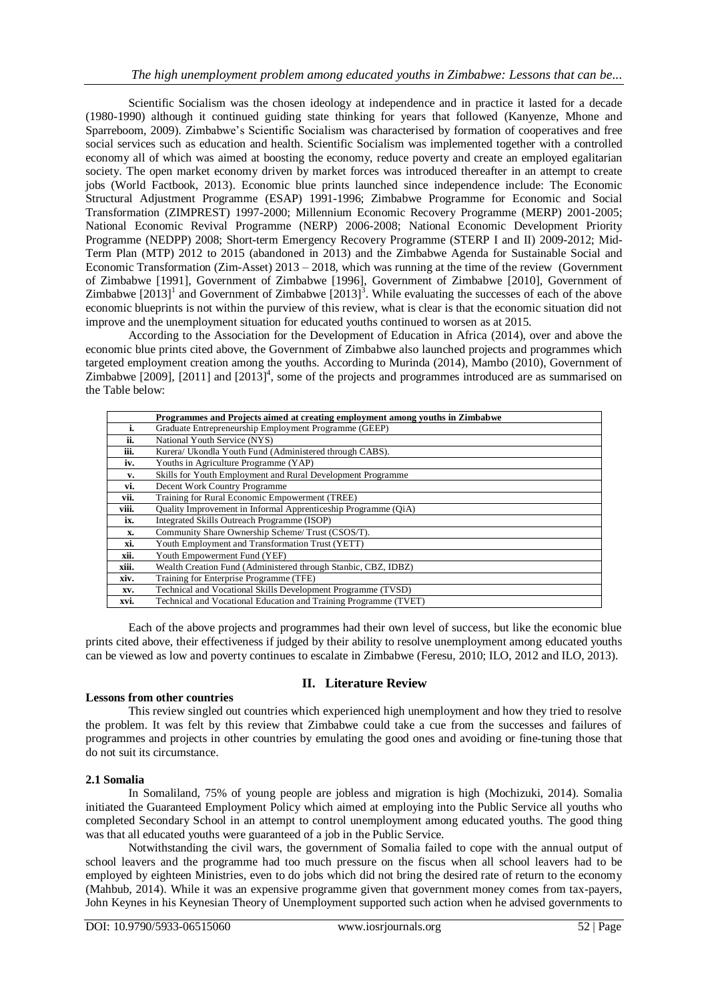Scientific Socialism was the chosen ideology at independence and in practice it lasted for a decade (1980-1990) although it continued guiding state thinking for years that followed (Kanyenze, Mhone and Sparreboom, 2009). Zimbabwe"s Scientific Socialism was characterised by formation of cooperatives and free social services such as education and health. Scientific Socialism was implemented together with a controlled economy all of which was aimed at boosting the economy, reduce poverty and create an employed egalitarian society. The open market economy driven by market forces was introduced thereafter in an attempt to create jobs (World Factbook, 2013). Economic blue prints launched since independence include: The Economic Structural Adjustment Programme (ESAP) 1991-1996; Zimbabwe Programme for Economic and Social Transformation (ZIMPREST) 1997-2000; Millennium Economic Recovery Programme (MERP) 2001-2005; National Economic Revival Programme (NERP) 2006-2008; National Economic Development Priority Programme (NEDPP) 2008; Short-term Emergency Recovery Programme (STERP I and II) 2009-2012; Mid-Term Plan (MTP) 2012 to 2015 (abandoned in 2013) and the Zimbabwe Agenda for Sustainable Social and Economic Transformation (Zim-Asset) 2013 – 2018, which was running at the time of the review (Government of Zimbabwe [1991], Government of Zimbabwe [1996], Government of Zimbabwe [2010], Government of Zimbabwe  $[2013]$ <sup>1</sup> and Government of Zimbabwe  $[2013]$ <sup>3</sup>. While evaluating the successes of each of the above economic blueprints is not within the purview of this review, what is clear is that the economic situation did not improve and the unemployment situation for educated youths continued to worsen as at 2015.

According to the Association for the Development of Education in Africa (2014), over and above the economic blue prints cited above, the Government of Zimbabwe also launched projects and programmes which targeted employment creation among the youths. According to Murinda (2014), Mambo (2010), Government of Zimbabwe  $[2009]$ ,  $[2011]$  and  $[2013]$ <sup>4</sup>, some of the projects and programmes introduced are as summarised on the Table below:

|       | Programmes and Projects aimed at creating employment among youths in Zimbabwe |  |  |  |  |  |
|-------|-------------------------------------------------------------------------------|--|--|--|--|--|
| i.    | Graduate Entrepreneurship Employment Programme (GEEP)                         |  |  |  |  |  |
| ii.   | National Youth Service (NYS)                                                  |  |  |  |  |  |
| iii.  | Kurera/ Ukondla Youth Fund (Administered through CABS).                       |  |  |  |  |  |
| iv.   | Youths in Agriculture Programme (YAP)                                         |  |  |  |  |  |
| v.    | Skills for Youth Employment and Rural Development Programme                   |  |  |  |  |  |
| vi.   | Decent Work Country Programme                                                 |  |  |  |  |  |
| vii.  | Training for Rural Economic Empowerment (TREE)                                |  |  |  |  |  |
| viii. | Quality Improvement in Informal Apprenticeship Programme (QiA)                |  |  |  |  |  |
| ix.   | Integrated Skills Outreach Programme (ISOP)                                   |  |  |  |  |  |
| X.    | Community Share Ownership Scheme/Trust (CSOS/T).                              |  |  |  |  |  |
| xi.   | Youth Employment and Transformation Trust (YETT)                              |  |  |  |  |  |
| xii.  | Youth Empowerment Fund (YEF)                                                  |  |  |  |  |  |
| xiii. | Wealth Creation Fund (Administered through Stanbic, CBZ, IDBZ)                |  |  |  |  |  |
| xiv.  | Training for Enterprise Programme (TFE)                                       |  |  |  |  |  |
| XV.   | Technical and Vocational Skills Development Programme (TVSD)                  |  |  |  |  |  |
| XVI.  | Technical and Vocational Education and Training Programme (TVET)              |  |  |  |  |  |

Each of the above projects and programmes had their own level of success, but like the economic blue prints cited above, their effectiveness if judged by their ability to resolve unemployment among educated youths can be viewed as low and poverty continues to escalate in Zimbabwe (Feresu, 2010; ILO, 2012 and ILO, 2013).

## **II. Literature Review**

## **Lessons from other countries**

This review singled out countries which experienced high unemployment and how they tried to resolve the problem. It was felt by this review that Zimbabwe could take a cue from the successes and failures of programmes and projects in other countries by emulating the good ones and avoiding or fine-tuning those that do not suit its circumstance.

## **2.1 Somalia**

In Somaliland, 75% of young people are jobless and migration is high (Mochizuki, 2014). Somalia initiated the Guaranteed Employment Policy which aimed at employing into the Public Service all youths who completed Secondary School in an attempt to control unemployment among educated youths. The good thing was that all educated youths were guaranteed of a job in the Public Service.

Notwithstanding the civil wars, the government of Somalia failed to cope with the annual output of school leavers and the programme had too much pressure on the fiscus when all school leavers had to be employed by eighteen Ministries, even to do jobs which did not bring the desired rate of return to the economy (Mahbub, 2014). While it was an expensive programme given that government money comes from tax-payers, John Keynes in his Keynesian Theory of Unemployment supported such action when he advised governments to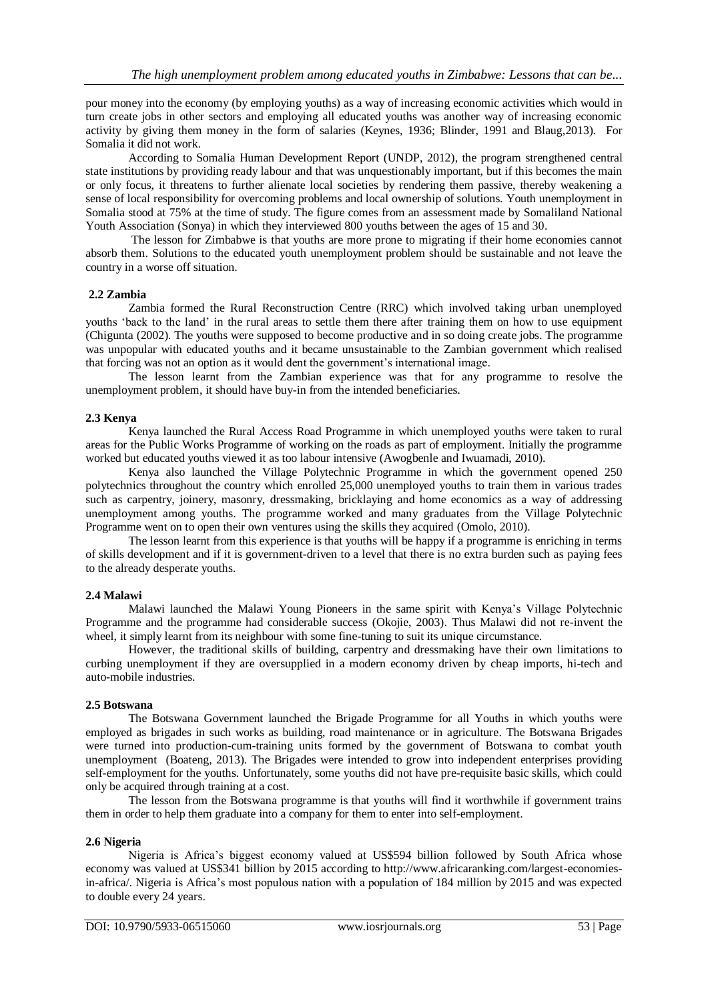pour money into the economy (by employing youths) as a way of increasing economic activities which would in turn create jobs in other sectors and employing all educated youths was another way of increasing economic activity by giving them money in the form of salaries (Keynes, 1936; Blinder, 1991 and Blaug,2013). For Somalia it did not work.

According to Somalia Human Development Report (UNDP, 2012), the program strengthened central state institutions by providing ready labour and that was unquestionably important, but if this becomes the main or only focus, it threatens to further alienate local societies by rendering them passive, thereby weakening a sense of local responsibility for overcoming problems and local ownership of solutions. Youth unemployment in Somalia stood at 75% at the time of study. The figure comes from an assessment made by [Somaliland National](http://www.sonyoumbrella.blogspot.co.uk/)  [Youth Association](http://www.sonyoumbrella.blogspot.co.uk/) (Sonya) in which they interviewed 800 youths between the ages of 15 and 30.

The lesson for Zimbabwe is that youths are more prone to migrating if their home economies cannot absorb them. Solutions to the educated youth unemployment problem should be sustainable and not leave the country in a worse off situation.

## **2.2 Zambia**

Zambia formed the Rural Reconstruction Centre (RRC) which involved taking urban unemployed youths "back to the land" in the rural areas to settle them there after training them on how to use equipment (Chigunta (2002). The youths were supposed to become productive and in so doing create jobs. The programme was unpopular with educated youths and it became unsustainable to the Zambian government which realised that forcing was not an option as it would dent the government"s international image.

The lesson learnt from the Zambian experience was that for any programme to resolve the unemployment problem, it should have buy-in from the intended beneficiaries.

## **2.3 Kenya**

Kenya launched the Rural Access Road Programme in which unemployed youths were taken to rural areas for the Public Works Programme of working on the roads as part of employment. Initially the programme worked but educated youths viewed it as too labour intensive (Awogbenle and Iwuamadi, 2010).

Kenya also launched the Village Polytechnic Programme in which the government opened 250 polytechnics throughout the country which enrolled 25,000 unemployed youths to train them in various trades such as carpentry, joinery, masonry, dressmaking, bricklaying and home economics as a way of addressing unemployment among youths. The programme worked and many graduates from the Village Polytechnic Programme went on to open their own ventures using the skills they acquired (Omolo, 2010).

The lesson learnt from this experience is that youths will be happy if a programme is enriching in terms of skills development and if it is government-driven to a level that there is no extra burden such as paying fees to the already desperate youths.

## **2.4 Malawi**

Malawi launched the Malawi Young Pioneers in the same spirit with Kenya"s Village Polytechnic Programme and the programme had considerable success (Okojie, 2003). Thus Malawi did not re-invent the wheel, it simply learnt from its neighbour with some fine-tuning to suit its unique circumstance.

However, the traditional skills of building, carpentry and dressmaking have their own limitations to curbing unemployment if they are oversupplied in a modern economy driven by cheap imports, hi-tech and auto-mobile industries.

## **2.5 Botswana**

The Botswana Government launched the Brigade Programme for all Youths in which youths were employed as brigades in such works as building, road maintenance or in agriculture. The Botswana Brigades were turned into production-cum-training units formed by the government of Botswana to combat youth unemployment (Boateng, 2013). The Brigades were intended to grow into independent enterprises providing self-employment for the youths. Unfortunately, some youths did not have pre-requisite basic skills, which could only be acquired through training at a cost.

The lesson from the Botswana programme is that youths will find it worthwhile if government trains them in order to help them graduate into a company for them to enter into self-employment.

#### **2.6 Nigeria**

Nigeria is Africa"s biggest economy valued at US\$594 billion followed by South Africa whose economy was valued at US\$341 billion by 2015 according to http://www.africaranking.com/largest-economiesin-africa/. Nigeria is Africa"s most populous nation with a population of 184 million by 2015 and was expected to double every 24 years.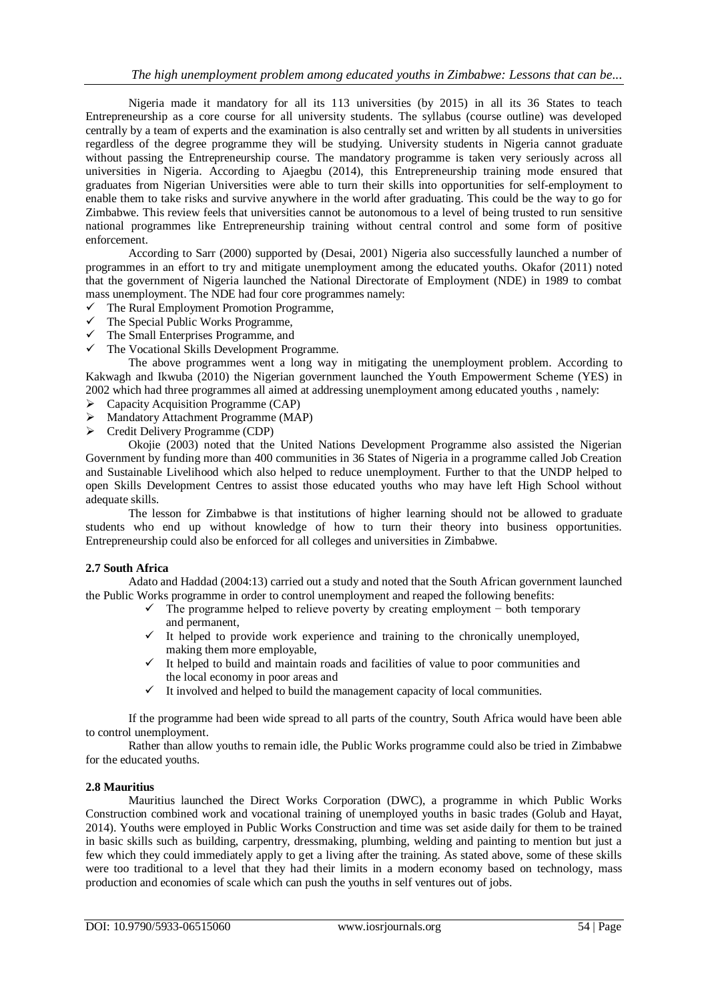Nigeria made it mandatory for all its 113 universities (by 2015) in all its 36 States to teach Entrepreneurship as a core course for all university students. The syllabus (course outline) was developed centrally by a team of experts and the examination is also centrally set and written by all students in universities regardless of the degree programme they will be studying. University students in Nigeria cannot graduate without passing the Entrepreneurship course. The mandatory programme is taken very seriously across all universities in Nigeria. According to Ajaegbu (2014), this Entrepreneurship training mode ensured that graduates from Nigerian Universities were able to turn their skills into opportunities for self-employment to enable them to take risks and survive anywhere in the world after graduating. This could be the way to go for Zimbabwe. This review feels that universities cannot be autonomous to a level of being trusted to run sensitive national programmes like Entrepreneurship training without central control and some form of positive enforcement.

According to Sarr (2000) supported by (Desai, 2001) Nigeria also successfully launched a number of programmes in an effort to try and mitigate unemployment among the educated youths. Okafor (2011) noted that the government of Nigeria launched the National Directorate of Employment (NDE) in 1989 to combat mass unemployment. The NDE had four core programmes namely:

- $\checkmark$  The Rural Employment Promotion Programme,
- $\checkmark$  The Special Public Works Programme,
- $\checkmark$  The Small Enterprises Programme, and
- $\checkmark$  The Vocational Skills Development Programme.

The above programmes went a long way in mitigating the unemployment problem. According to Kakwagh and Ikwuba (2010) the Nigerian government launched the Youth Empowerment Scheme (YES) in 2002 which had three programmes all aimed at addressing unemployment among educated youths , namely:

- $\triangleright$  Capacity Acquisition Programme (CAP)
- Mandatory Attachment Programme (MAP)
- $\triangleright$  Credit Delivery Programme (CDP)

Okojie (2003) noted that the United Nations Development Programme also assisted the Nigerian Government by funding more than 400 communities in 36 States of Nigeria in a programme called Job Creation and Sustainable Livelihood which also helped to reduce unemployment. Further to that the UNDP helped to open Skills Development Centres to assist those educated youths who may have left High School without adequate skills.

The lesson for Zimbabwe is that institutions of higher learning should not be allowed to graduate students who end up without knowledge of how to turn their theory into business opportunities. Entrepreneurship could also be enforced for all colleges and universities in Zimbabwe.

## **2.7 South Africa**

Adato and Haddad (2004:13) carried out a study and noted that the South African government launched the Public Works programme in order to control unemployment and reaped the following benefits:

- The programme helped to relieve poverty by creating employment − both temporary and permanent,
- $\checkmark$  It helped to provide work experience and training to the chronically unemployed, making them more employable,
- $\checkmark$  It helped to build and maintain roads and facilities of value to poor communities and the local economy in poor areas and
- $\checkmark$  It involved and helped to build the management capacity of local communities.

If the programme had been wide spread to all parts of the country, South Africa would have been able to control unemployment.

Rather than allow youths to remain idle, the Public Works programme could also be tried in Zimbabwe for the educated youths.

## **2.8 Mauritius**

Mauritius launched the Direct Works Corporation (DWC), a programme in which Public Works Construction combined work and vocational training of unemployed youths in basic trades (Golub and Hayat, 2014). Youths were employed in Public Works Construction and time was set aside daily for them to be trained in basic skills such as building, carpentry, dressmaking, plumbing, welding and painting to mention but just a few which they could immediately apply to get a living after the training. As stated above, some of these skills were too traditional to a level that they had their limits in a modern economy based on technology, mass production and economies of scale which can push the youths in self ventures out of jobs.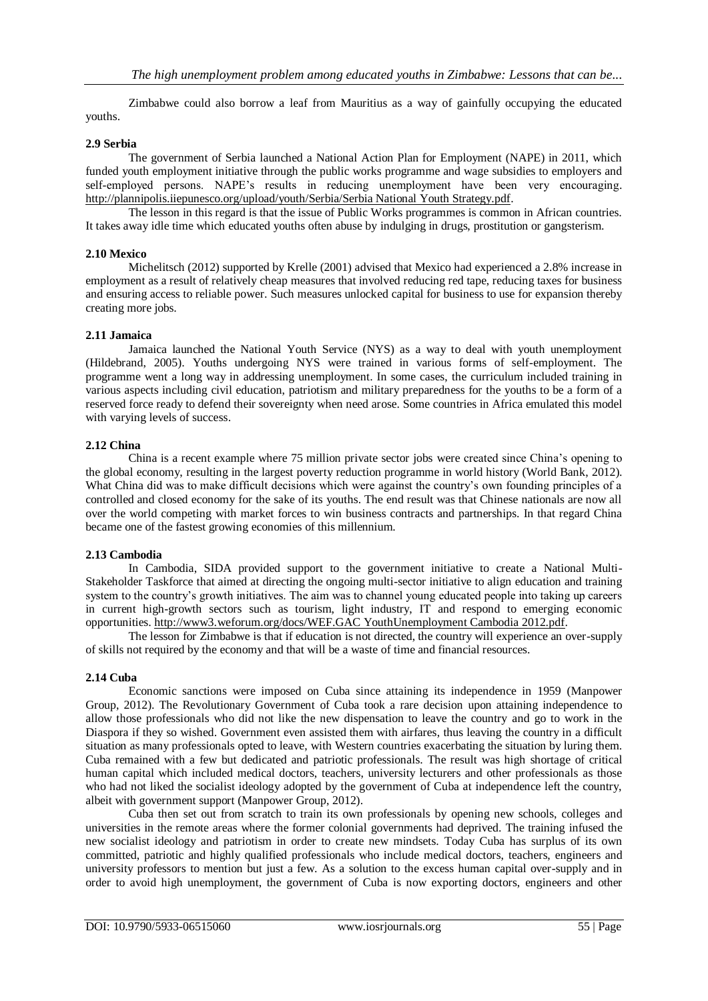Zimbabwe could also borrow a leaf from Mauritius as a way of gainfully occupying the educated youths.

## **2.9 Serbia**

The government of Serbia launched a National Action Plan for Employment (NAPE) in 2011, which funded youth employment initiative through the public works programme and wage subsidies to employers and self-employed persons. NAPE's results in reducing unemployment have been very encouraging. [http://plannipolis.iiepunesco.org/upload/youth/Serbia/Serbia National Youth Strategy.pdf.](http://plannipolis.iiepunesco.org/upload/youth/Serbia/Serbia%20National%20Youth%20Strategy.pdf)

The lesson in this regard is that the issue of Public Works programmes is common in African countries. It takes away idle time which educated youths often abuse by indulging in drugs, prostitution or gangsterism.

## **2.10 Mexico**

Michelitsch (2012) supported by Krelle (2001) advised that Mexico had experienced a 2.8% increase in employment as a result of relatively cheap measures that involved reducing red tape, reducing taxes for business and ensuring access to reliable power. Such measures unlocked capital for business to use for expansion thereby creating more jobs.

## **2.11 Jamaica**

Jamaica launched the National Youth Service (NYS) as a way to deal with youth unemployment (Hildebrand, 2005). Youths undergoing NYS were trained in various forms of self-employment. The programme went a long way in addressing unemployment. In some cases, the curriculum included training in various aspects including civil education, patriotism and military preparedness for the youths to be a form of a reserved force ready to defend their sovereignty when need arose. Some countries in Africa emulated this model with varying levels of success.

## **2.12 China**

China is a recent example where 75 million private sector jobs were created since China"s opening to the global economy, resulting in the largest poverty reduction programme in world history (World Bank, 2012). What China did was to make difficult decisions which were against the country's own founding principles of a controlled and closed economy for the sake of its youths. The end result was that Chinese nationals are now all over the world competing with market forces to win business contracts and partnerships. In that regard China became one of the fastest growing economies of this millennium.

## **2.13 Cambodia**

In Cambodia, SIDA provided support to the government initiative to create a National Multi-Stakeholder Taskforce that aimed at directing the ongoing multi-sector initiative to align education and training system to the country's growth initiatives. The aim was to channel young educated people into taking up careers in current high-growth sectors such as tourism, light industry, IT and respond to emerging economic opportunities. [http://www3.weforum.org/docs/WEF.GAC YouthUnemployment Cambodia 2012.pdf.](http://www3.weforum.org/docs/WEF.GAC%20YouthUnemployment%20Cambodia%202012.pdf)

The lesson for Zimbabwe is that if education is not directed, the country will experience an over-supply of skills not required by the economy and that will be a waste of time and financial resources.

## **2.14 Cuba**

Economic sanctions were imposed on Cuba since attaining its independence in 1959 (Manpower Group, 2012). The Revolutionary Government of Cuba took a rare decision upon attaining independence to allow those professionals who did not like the new dispensation to leave the country and go to work in the Diaspora if they so wished. Government even assisted them with airfares, thus leaving the country in a difficult situation as many professionals opted to leave, with Western countries exacerbating the situation by luring them. Cuba remained with a few but dedicated and patriotic professionals. The result was high shortage of critical human capital which included medical doctors, teachers, university lecturers and other professionals as those who had not liked the socialist ideology adopted by the government of Cuba at independence left the country, albeit with government support (Manpower Group, 2012).

Cuba then set out from scratch to train its own professionals by opening new schools, colleges and universities in the remote areas where the former colonial governments had deprived. The training infused the new socialist ideology and patriotism in order to create new mindsets. Today Cuba has surplus of its own committed, patriotic and highly qualified professionals who include medical doctors, teachers, engineers and university professors to mention but just a few. As a solution to the excess human capital over-supply and in order to avoid high unemployment, the government of Cuba is now exporting doctors, engineers and other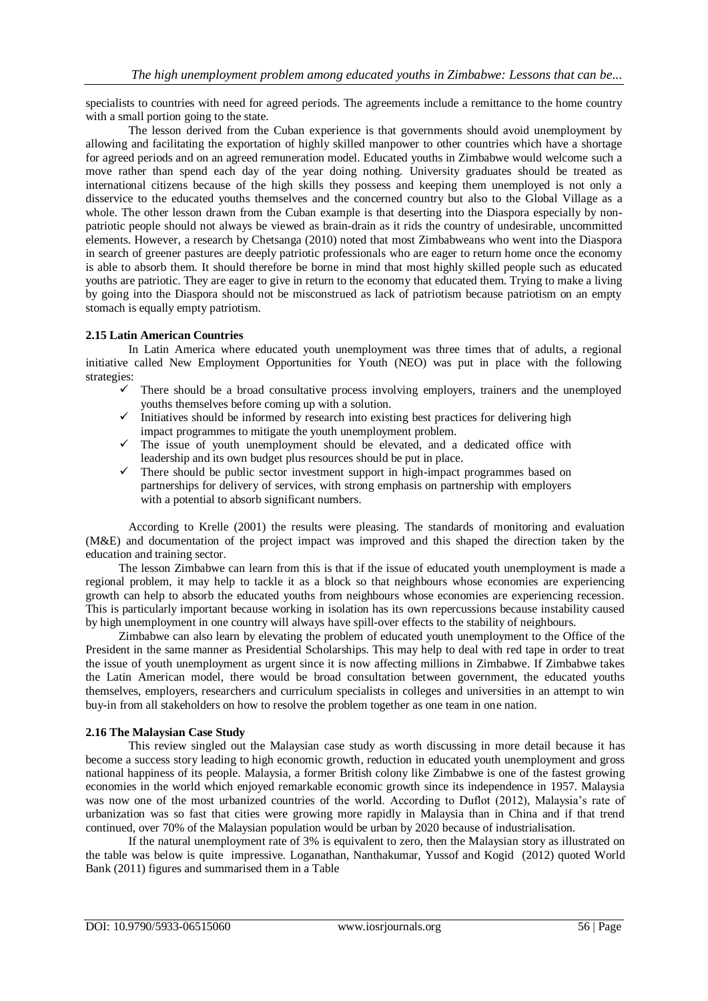specialists to countries with need for agreed periods. The agreements include a remittance to the home country with a small portion going to the state.

The lesson derived from the Cuban experience is that governments should avoid unemployment by allowing and facilitating the exportation of highly skilled manpower to other countries which have a shortage for agreed periods and on an agreed remuneration model. Educated youths in Zimbabwe would welcome such a move rather than spend each day of the year doing nothing. University graduates should be treated as international citizens because of the high skills they possess and keeping them unemployed is not only a disservice to the educated youths themselves and the concerned country but also to the Global Village as a whole. The other lesson drawn from the Cuban example is that deserting into the Diaspora especially by nonpatriotic people should not always be viewed as brain-drain as it rids the country of undesirable, uncommitted elements. However, a research by Chetsanga (2010) noted that most Zimbabweans who went into the Diaspora in search of greener pastures are deeply patriotic professionals who are eager to return home once the economy is able to absorb them. It should therefore be borne in mind that most highly skilled people such as educated youths are patriotic. They are eager to give in return to the economy that educated them. Trying to make a living by going into the Diaspora should not be misconstrued as lack of patriotism because patriotism on an empty stomach is equally empty patriotism.

## **2.15 Latin American Countries**

In Latin America where educated youth unemployment was three times that of adults, a regional initiative called New Employment Opportunities for Youth (NEO) was put in place with the following strategies:

- $\checkmark$  There should be a broad consultative process involving employers, trainers and the unemployed youths themselves before coming up with a solution.
- $\checkmark$  Initiatives should be informed by research into existing best practices for delivering high impact programmes to mitigate the youth unemployment problem.
- $\checkmark$  The issue of youth unemployment should be elevated, and a dedicated office with leadership and its own budget plus resources should be put in place.
- $\checkmark$  There should be public sector investment support in high-impact programmes based on partnerships for delivery of services, with strong emphasis on partnership with employers with a potential to absorb significant numbers.

According to Krelle (2001) the results were pleasing. The standards of monitoring and evaluation (M&E) and documentation of the project impact was improved and this shaped the direction taken by the education and training sector.

The lesson Zimbabwe can learn from this is that if the issue of educated youth unemployment is made a regional problem, it may help to tackle it as a block so that neighbours whose economies are experiencing growth can help to absorb the educated youths from neighbours whose economies are experiencing recession. This is particularly important because working in isolation has its own repercussions because instability caused by high unemployment in one country will always have spill-over effects to the stability of neighbours.

Zimbabwe can also learn by elevating the problem of educated youth unemployment to the Office of the President in the same manner as Presidential Scholarships. This may help to deal with red tape in order to treat the issue of youth unemployment as urgent since it is now affecting millions in Zimbabwe. If Zimbabwe takes the Latin American model, there would be broad consultation between government, the educated youths themselves, employers, researchers and curriculum specialists in colleges and universities in an attempt to win buy-in from all stakeholders on how to resolve the problem together as one team in one nation.

## **2.16 The Malaysian Case Study**

This review singled out the Malaysian case study as worth discussing in more detail because it has become a success story leading to high economic growth, reduction in educated youth unemployment and gross national happiness of its people. Malaysia, a former British colony like Zimbabwe is one of the fastest growing economies in the world which enjoyed remarkable economic growth since its independence in 1957. Malaysia was now one of the most urbanized countries of the world. According to Duflot (2012), Malaysia's rate of urbanization was so fast that cities were growing more rapidly in Malaysia than in China and if that trend continued, over 70% of the Malaysian population would be urban by 2020 because of industrialisation.

If the natural unemployment rate of 3% is equivalent to zero, then the Malaysian story as illustrated on the table was below is quite impressive. Loganathan, Nanthakumar, Yussof and Kogid (2012) quoted World Bank (2011) figures and summarised them in a Table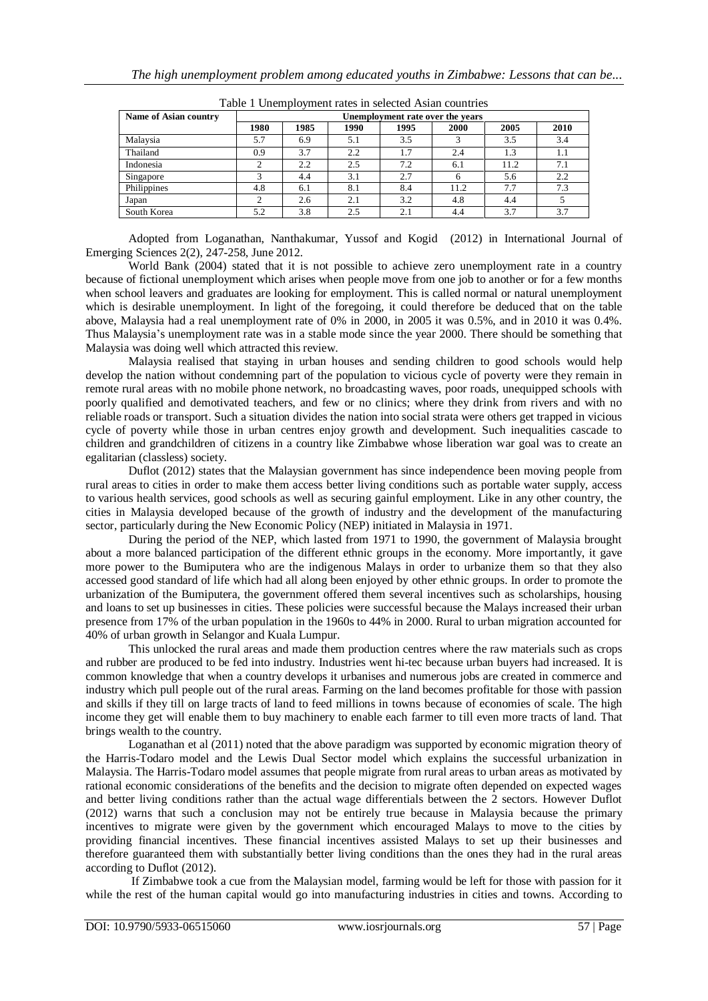| Name of Asian country | Unemployment rate over the years |      |      |      |              |      |      |
|-----------------------|----------------------------------|------|------|------|--------------|------|------|
|                       | 1980                             | 1985 | 1990 | 1995 | 2000         | 2005 | 2010 |
| Malaysia              | 5.7                              | 6.9  | 5.1  | 3.5  |              | 3.5  | 3.4  |
| Thailand              | 0.9                              | 3.7  | 2.2  | 1.7  | 2.4          | 1.3  | 1.1  |
| Indonesia             | ◠                                | 2.2  | 2.5  | 7.2  | 6.1          | 11.2 | 7.1  |
| Singapore             |                                  | 4.4  | 3.1  | 2.7  | <sub>(</sub> | 5.6  | 2.2  |
| Philippines           | 4.8                              | 6.1  | 8.1  | 8.4  | 11.2         | 7.7  | 7.3  |
| Japan                 | 2                                | 2.6  | 2.1  | 3.2  | 4.8          | 4.4  |      |
| South Korea           | 5.2                              | 3.8  | 2.5  | 2.1  | 4.4          | 3.7  | 3.7  |

Table 1 Unemployment rates in selected Asian countries

Adopted from Loganathan, Nanthakumar, Yussof and Kogid (2012) in International Journal of Emerging Sciences 2(2), 247-258, June 2012.

World Bank (2004) stated that it is not possible to achieve zero unemployment rate in a country because of fictional unemployment which arises when people move from one job to another or for a few months when school leavers and graduates are looking for employment. This is called normal or natural unemployment which is desirable unemployment. In light of the foregoing, it could therefore be deduced that on the table above, Malaysia had a real unemployment rate of 0% in 2000, in 2005 it was 0.5%, and in 2010 it was 0.4%. Thus Malaysia"s unemployment rate was in a stable mode since the year 2000. There should be something that Malaysia was doing well which attracted this review.

Malaysia realised that staying in urban houses and sending children to good schools would help develop the nation without condemning part of the population to vicious cycle of poverty were they remain in remote rural areas with no mobile phone network, no broadcasting waves, poor roads, unequipped schools with poorly qualified and demotivated teachers, and few or no clinics; where they drink from rivers and with no reliable roads or transport. Such a situation divides the nation into social strata were others get trapped in vicious cycle of poverty while those in urban centres enjoy growth and development. Such inequalities cascade to children and grandchildren of citizens in a country like Zimbabwe whose liberation war goal was to create an egalitarian (classless) society.

Duflot (2012) states that the Malaysian government has since independence been moving people from rural areas to cities in order to make them access better living conditions such as portable water supply, access to various health services, good schools as well as securing gainful employment. Like in any other country, the cities in Malaysia developed because of the growth of industry and the development of the manufacturing sector, particularly during the New Economic Policy (NEP) initiated in Malaysia in 1971.

During the period of the NEP, which lasted from 1971 to 1990, the government of Malaysia brought about a more balanced participation of the different ethnic groups in the economy. More importantly, it gave more power to the Bumiputera who are the indigenous Malays in order to urbanize them so that they also accessed good standard of life which had all along been enjoyed by other ethnic groups. In order to promote the urbanization of the Bumiputera, the government offered them several incentives such as scholarships, housing and loans to set up businesses in cities. These policies were successful because the Malays increased their urban presence from 17% of the urban population in the 1960s to 44% in 2000. Rural to urban migration accounted for 40% of urban growth in Selangor and Kuala Lumpur.

This unlocked the rural areas and made them production centres where the raw materials such as crops and rubber are produced to be fed into industry. Industries went hi-tec because urban buyers had increased. It is common knowledge that when a country develops it urbanises and numerous jobs are created in commerce and industry which pull people out of the rural areas. Farming on the land becomes profitable for those with passion and skills if they till on large tracts of land to feed millions in towns because of economies of scale. The high income they get will enable them to buy machinery to enable each farmer to till even more tracts of land. That brings wealth to the country.

Loganathan et al (2011) noted that the above paradigm was supported by economic migration theory of the Harris-Todaro model and the Lewis Dual Sector model which explains the successful urbanization in Malaysia. The Harris-Todaro model assumes that people migrate from rural areas to urban areas as motivated by rational economic considerations of the benefits and the decision to migrate often depended on expected wages and better living conditions rather than the actual wage differentials between the 2 sectors. However Duflot (2012) warns that such a conclusion may not be entirely true because in Malaysia because the primary incentives to migrate were given by the government which encouraged Malays to move to the cities by providing financial incentives. These financial incentives assisted Malays to set up their businesses and therefore guaranteed them with substantially better living conditions than the ones they had in the rural areas according to Duflot (2012).

If Zimbabwe took a cue from the Malaysian model, farming would be left for those with passion for it while the rest of the human capital would go into manufacturing industries in cities and towns. According to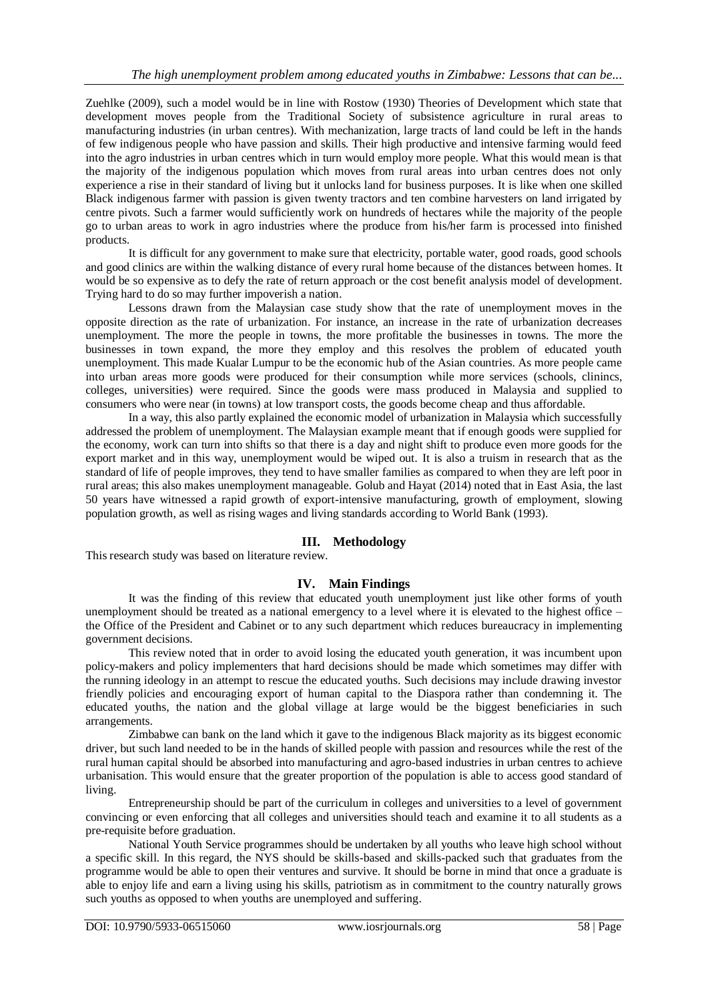Zuehlke (2009), such a model would be in line with Rostow (1930) Theories of Development which state that development moves people from the Traditional Society of subsistence agriculture in rural areas to manufacturing industries (in urban centres). With mechanization, large tracts of land could be left in the hands of few indigenous people who have passion and skills. Their high productive and intensive farming would feed into the agro industries in urban centres which in turn would employ more people. What this would mean is that the majority of the indigenous population which moves from rural areas into urban centres does not only experience a rise in their standard of living but it unlocks land for business purposes. It is like when one skilled Black indigenous farmer with passion is given twenty tractors and ten combine harvesters on land irrigated by centre pivots. Such a farmer would sufficiently work on hundreds of hectares while the majority of the people go to urban areas to work in agro industries where the produce from his/her farm is processed into finished products.

It is difficult for any government to make sure that electricity, portable water, good roads, good schools and good clinics are within the walking distance of every rural home because of the distances between homes. It would be so expensive as to defy the rate of return approach or the cost benefit analysis model of development. Trying hard to do so may further impoverish a nation.

Lessons drawn from the Malaysian case study show that the rate of unemployment moves in the opposite direction as the rate of urbanization. For instance, an increase in the rate of urbanization decreases unemployment. The more the people in towns, the more profitable the businesses in towns. The more the businesses in town expand, the more they employ and this resolves the problem of educated youth unemployment. This made Kualar Lumpur to be the economic hub of the Asian countries. As more people came into urban areas more goods were produced for their consumption while more services (schools, clinincs, colleges, universities) were required. Since the goods were mass produced in Malaysia and supplied to consumers who were near (in towns) at low transport costs, the goods become cheap and thus affordable.

In a way, this also partly explained the economic model of urbanization in Malaysia which successfully addressed the problem of unemployment. The Malaysian example meant that if enough goods were supplied for the economy, work can turn into shifts so that there is a day and night shift to produce even more goods for the export market and in this way, unemployment would be wiped out. It is also a truism in research that as the standard of life of people improves, they tend to have smaller families as compared to when they are left poor in rural areas; this also makes unemployment manageable. Golub and Hayat (2014) noted that in East Asia, the last 50 years have witnessed a rapid growth of export-intensive manufacturing, growth of employment, slowing population growth, as well as rising wages and living standards according to World Bank (1993).

## **III. Methodology**

This research study was based on literature review.

## **IV. Main Findings**

It was the finding of this review that educated youth unemployment just like other forms of youth unemployment should be treated as a national emergency to a level where it is elevated to the highest office – the Office of the President and Cabinet or to any such department which reduces bureaucracy in implementing government decisions.

This review noted that in order to avoid losing the educated youth generation, it was incumbent upon policy-makers and policy implementers that hard decisions should be made which sometimes may differ with the running ideology in an attempt to rescue the educated youths. Such decisions may include drawing investor friendly policies and encouraging export of human capital to the Diaspora rather than condemning it. The educated youths, the nation and the global village at large would be the biggest beneficiaries in such arrangements.

Zimbabwe can bank on the land which it gave to the indigenous Black majority as its biggest economic driver, but such land needed to be in the hands of skilled people with passion and resources while the rest of the rural human capital should be absorbed into manufacturing and agro-based industries in urban centres to achieve urbanisation. This would ensure that the greater proportion of the population is able to access good standard of living.

Entrepreneurship should be part of the curriculum in colleges and universities to a level of government convincing or even enforcing that all colleges and universities should teach and examine it to all students as a pre-requisite before graduation.

National Youth Service programmes should be undertaken by all youths who leave high school without a specific skill. In this regard, the NYS should be skills-based and skills-packed such that graduates from the programme would be able to open their ventures and survive. It should be borne in mind that once a graduate is able to enjoy life and earn a living using his skills, patriotism as in commitment to the country naturally grows such youths as opposed to when youths are unemployed and suffering.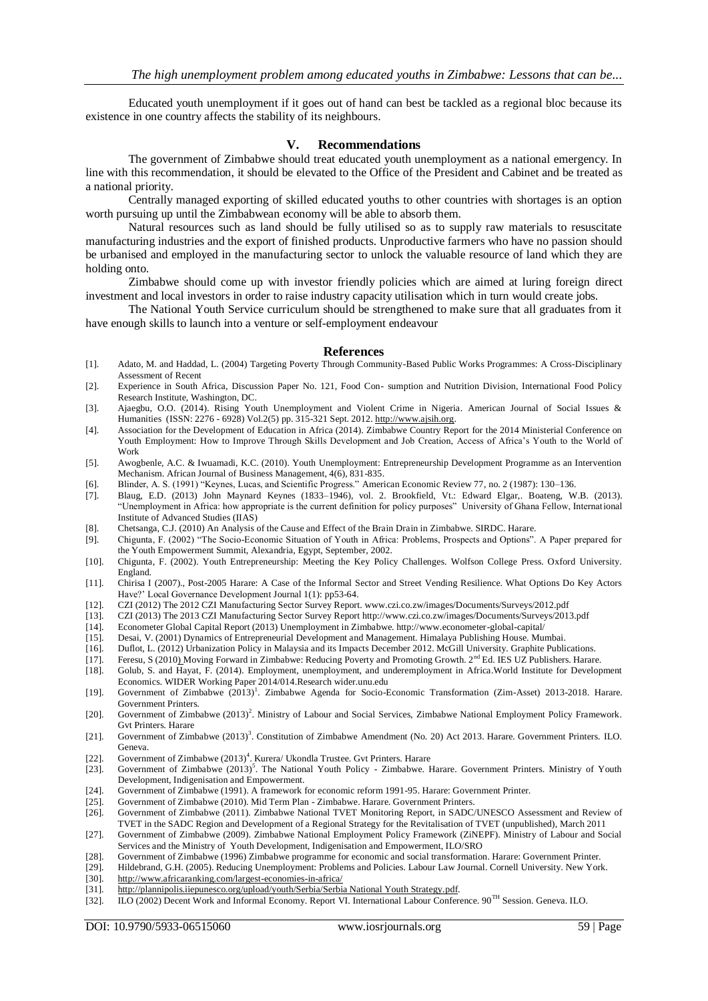Educated youth unemployment if it goes out of hand can best be tackled as a regional bloc because its existence in one country affects the stability of its neighbours.

#### **V. Recommendations**

The government of Zimbabwe should treat educated youth unemployment as a national emergency. In line with this recommendation, it should be elevated to the Office of the President and Cabinet and be treated as a national priority.

Centrally managed exporting of skilled educated youths to other countries with shortages is an option worth pursuing up until the Zimbabwean economy will be able to absorb them.

Natural resources such as land should be fully utilised so as to supply raw materials to resuscitate manufacturing industries and the export of finished products. Unproductive farmers who have no passion should be urbanised and employed in the manufacturing sector to unlock the valuable resource of land which they are holding onto.

Zimbabwe should come up with investor friendly policies which are aimed at luring foreign direct investment and local investors in order to raise industry capacity utilisation which in turn would create jobs.

The National Youth Service curriculum should be strengthened to make sure that all graduates from it have enough skills to launch into a venture or self-employment endeavour

#### **References**

- [1]. Adato, M. and Haddad, L. (2004) Targeting Poverty Through Community-Based Public Works Programmes: A Cross-Disciplinary Assessment of Recent
- [2]. Experience in South Africa, Discussion Paper No. 121, Food Con- sumption and Nutrition Division, International Food Policy Research Institute, Washington, DC.
- [3]. Ajaegbu, O.O. (2014). Rising Youth Unemployment and Violent Crime in Nigeria. American Journal of Social Issues & Humanities (ISSN: 2276 - 6928) Vol.2(5) pp. 315-321 Sept. 2012[. http://www.ajsih.org.](http://www.ajsih.org/)
- [4]. Association for the Development of Education in Africa (2014). Zimbabwe Country Report for the 2014 Ministerial Conference on Youth Employment: How to Improve Through Skills Development and Job Creation, Access of Africa's Youth to the World of Work
- [5]. Awogbenle, A.C. & Iwuamadi, K.C. (2010). Youth Unemployment: Entrepreneurship Development Programme as an Intervention Mechanism. African Journal of Business Management, 4(6), 831-835.
- [6]. Blinder, A. S. (1991) "Keynes, Lucas, and Scientific Progress." American Economic Review 77, no. 2 (1987): 130–136.
- [7]. Blaug, E.D. (2013) John Maynard Keynes (1833–1946), vol. 2. Brookfield, Vt.: Edward Elgar,. Boateng, W.B. (2013). "Unemployment in Africa: how appropriate is the current definition for policy purposes" University of Ghana Fellow, International Institute of Advanced Studies (IIAS)
- [8]. Chetsanga, C.J. (2010) An Analysis of the Cause and Effect of the Brain Drain in Zimbabwe. SIRDC. Harare.
- [9]. Chigunta, F. (2002) "The Socio-Economic Situation of Youth in Africa: Problems, Prospects and Options". A Paper prepared for the Youth Empowerment Summit, Alexandria, Egypt, September, 2002.
- [10]. Chigunta, F. (2002). Youth Entrepreneurship: Meeting the Key Policy Challenges. Wolfson College Press. Oxford University. England.
- [11]. Chirisa I (2007)., Post-2005 Harare: A Case of the Informal Sector and Street Vending Resilience. What Options Do Key Actors Have?" Local Governance Development Journal 1(1): pp53-64.
- [12]. CZI (2012) The 2012 CZI Manufacturing Sector Survey Report. www.czi.co.zw/images/Documents/Surveys/2012.pdf
- [13]. CZI (2013) The 2013 CZI Manufacturing Sector Survey Report http://www.czi.co.zw/images/Documents/Surveys/2013.pdf
- 
- [14]. Econometer Global Capital Report (2013) Unemployment in Zimbabwe. http://www.econometer-global-capital/ Desai, V. (2001) Dynamics of Entrepreneurial Development and Management. Himalaya Publishing House. Mumbai.
- [16]. Duflot, L. (2012) Urbanization Policy in Malaysia and its Impacts December 2012. McGill University. Graphite Publications.
- [17]. Feresu, S (2010) Moving Forward in Zimbabwe: Reducing Poverty and Promoting Growth. 2<sup>nd</sup> Ed. IES UZ Publishers. Harare.
- [18]. Golub, S. and Hayat, F. (2014). Employment, unemployment, and underemployment in Africa.World Institute for Development Economics. WIDER Working Paper 2014/014.Research wider.unu.edu
- [19]. Government of Zimbabwe (2013)<sup>1</sup>. Zimbabwe Agenda for Socio-Economic Transformation (Zim-Asset) 2013-2018. Harare. Government Printers.
- [20]. Government of Zimbabwe (2013)<sup>2</sup>. Ministry of Labour and Social Services, Zimbabwe National Employment Policy Framework. Gvt Printers. Harare
- [21]. Government of Zimbabwe (2013)<sup>3</sup>. Constitution of Zimbabwe Amendment (No. 20) Act 2013. Harare. Government Printers. ILO. Geneva.
- [22]. Government of Zimbabwe (2013)<sup>4</sup>. Kurera/ Ukondla Trustee. Gvt Printers. Harare
- [23]. Government of Zimbabwe (2013)<sup>5</sup>. The National Youth Policy Zimbabwe. Harare. Government Printers. Ministry of Youth Development, Indigenisation and Empowerment.
- [24]. Government of Zimbabwe (1991). A framework for economic reform 1991-95. Harare: Government Printer.
- [25]. Government of Zimbabwe (2010). Mid Term Plan Zimbabwe. Harare. Government Printers.
- [26]. Government of Zimbabwe (2011). Zimbabwe National TVET Monitoring Report, in SADC/UNESCO Assessment and Review of TVET in the SADC Region and Development of a Regional Strategy for the Revitalisation of TVET (unpublished), March 2011
- [27]. Government of Zimbabwe (2009). Zimbabwe National Employment Policy Framework (ZiNEPF). Ministry of Labour and Social Services and the Ministry of Youth Development, Indigenisation and Empowerment, ILO/SRO
- [28]. Government of Zimbabwe (1996) Zimbabwe programme for economic and social transformation. Harare: Government Printer.
- [29]. Hildebrand, G.H. (2005). Reducing Unemployment: Problems and Policies. Labour Law Journal. Cornell University. New York.<br>[30]. http://www.africaranking.com/largest-economies-in-africa/
- [30]. <http://www.africaranking.com/largest-economies-in-africa/><br>[31]. http://plannipolis.iiepunesco.org/upload/youth/Serbia/Serbia
- [http://plannipolis.iiepunesco.org/upload/youth/Serbia/Serbia National Youth Strategy.pdf.](http://plannipolis.iiepunesco.org/upload/youth/Serbia/Serbia%20National%20Youth%20Strategy.pdf)
- [32]. ILO (2002) Decent Work and Informal Economy. Report VI. International Labour Conference. 90TH Session. Geneva. ILO.